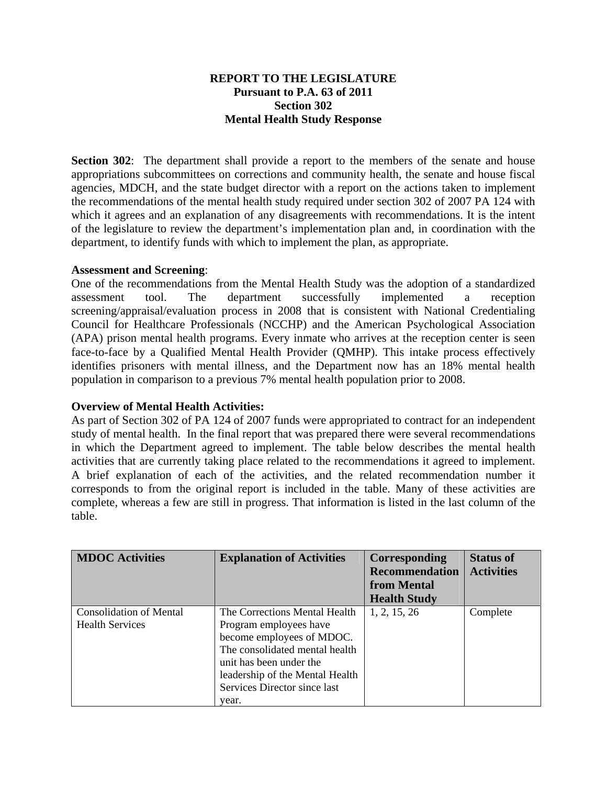## **REPORT TO THE LEGISLATURE Pursuant to P.A. 63 of 2011 Section 302 Mental Health Study Response**

**Section 302**: The department shall provide a report to the members of the senate and house appropriations subcommittees on corrections and community health, the senate and house fiscal agencies, MDCH, and the state budget director with a report on the actions taken to implement the recommendations of the mental health study required under section 302 of 2007 PA 124 with which it agrees and an explanation of any disagreements with recommendations. It is the intent of the legislature to review the department's implementation plan and, in coordination with the department, to identify funds with which to implement the plan, as appropriate.

## **Assessment and Screening**:

One of the recommendations from the Mental Health Study was the adoption of a standardized assessment tool. The department successfully implemented a reception screening/appraisal/evaluation process in 2008 that is consistent with National Credentialing Council for Healthcare Professionals (NCCHP) and the American Psychological Association (APA) prison mental health programs. Every inmate who arrives at the reception center is seen face-to-face by a Qualified Mental Health Provider (QMHP). This intake process effectively identifies prisoners with mental illness, and the Department now has an 18% mental health population in comparison to a previous 7% mental health population prior to 2008.

## **Overview of Mental Health Activities:**

As part of Section 302 of PA 124 of 2007 funds were appropriated to contract for an independent study of mental health. In the final report that was prepared there were several recommendations in which the Department agreed to implement. The table below describes the mental health activities that are currently taking place related to the recommendations it agreed to implement. A brief explanation of each of the activities, and the related recommendation number it corresponds to from the original report is included in the table. Many of these activities are complete, whereas a few are still in progress. That information is listed in the last column of the table.

| <b>MDOC</b> Activities                                   | <b>Explanation of Activities</b>                                                                                                                                                                                              | Corresponding<br><b>Recommendation</b><br>from Mental<br><b>Health Study</b> | <b>Status of</b><br><b>Activities</b> |
|----------------------------------------------------------|-------------------------------------------------------------------------------------------------------------------------------------------------------------------------------------------------------------------------------|------------------------------------------------------------------------------|---------------------------------------|
| <b>Consolidation of Mental</b><br><b>Health Services</b> | The Corrections Mental Health<br>Program employees have<br>become employees of MDOC.<br>The consolidated mental health<br>unit has been under the<br>leadership of the Mental Health<br>Services Director since last<br>vear. | 1, 2, 15, 26                                                                 | Complete                              |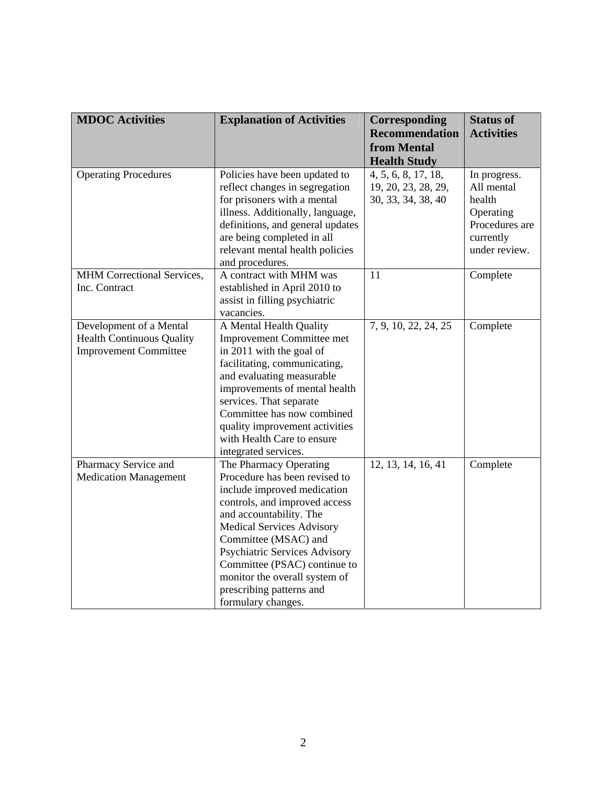| <b>MDOC</b> Activities                                                                      | <b>Explanation of Activities</b>                                                                                                                                                                                                                                                                                                                                          | Corresponding<br><b>Recommendation</b><br>from Mental                                   | <b>Status of</b><br><b>Activities</b>                                                             |
|---------------------------------------------------------------------------------------------|---------------------------------------------------------------------------------------------------------------------------------------------------------------------------------------------------------------------------------------------------------------------------------------------------------------------------------------------------------------------------|-----------------------------------------------------------------------------------------|---------------------------------------------------------------------------------------------------|
| <b>Operating Procedures</b>                                                                 | Policies have been updated to<br>reflect changes in segregation<br>for prisoners with a mental<br>illness. Additionally, language,<br>definitions, and general updates<br>are being completed in all<br>relevant mental health policies<br>and procedures.                                                                                                                | <b>Health Study</b><br>4, 5, 6, 8, 17, 18,<br>19, 20, 23, 28, 29,<br>30, 33, 34, 38, 40 | In progress.<br>All mental<br>health<br>Operating<br>Procedures are<br>currently<br>under review. |
| MHM Correctional Services,<br>Inc. Contract                                                 | A contract with MHM was<br>established in April 2010 to<br>assist in filling psychiatric<br>vacancies.                                                                                                                                                                                                                                                                    | 11                                                                                      | Complete                                                                                          |
| Development of a Mental<br><b>Health Continuous Quality</b><br><b>Improvement Committee</b> | A Mental Health Quality<br><b>Improvement Committee met</b><br>in 2011 with the goal of<br>facilitating, communicating,<br>and evaluating measurable<br>improvements of mental health<br>services. That separate<br>Committee has now combined<br>quality improvement activities<br>with Health Care to ensure<br>integrated services.                                    | 7, 9, 10, 22, 24, 25                                                                    | Complete                                                                                          |
| Pharmacy Service and<br><b>Medication Management</b>                                        | The Pharmacy Operating<br>Procedure has been revised to<br>include improved medication<br>controls, and improved access<br>and accountability. The<br><b>Medical Services Advisory</b><br>Committee (MSAC) and<br><b>Psychiatric Services Advisory</b><br>Committee (PSAC) continue to<br>monitor the overall system of<br>prescribing patterns and<br>formulary changes. | 12, 13, 14, 16, 41                                                                      | Complete                                                                                          |